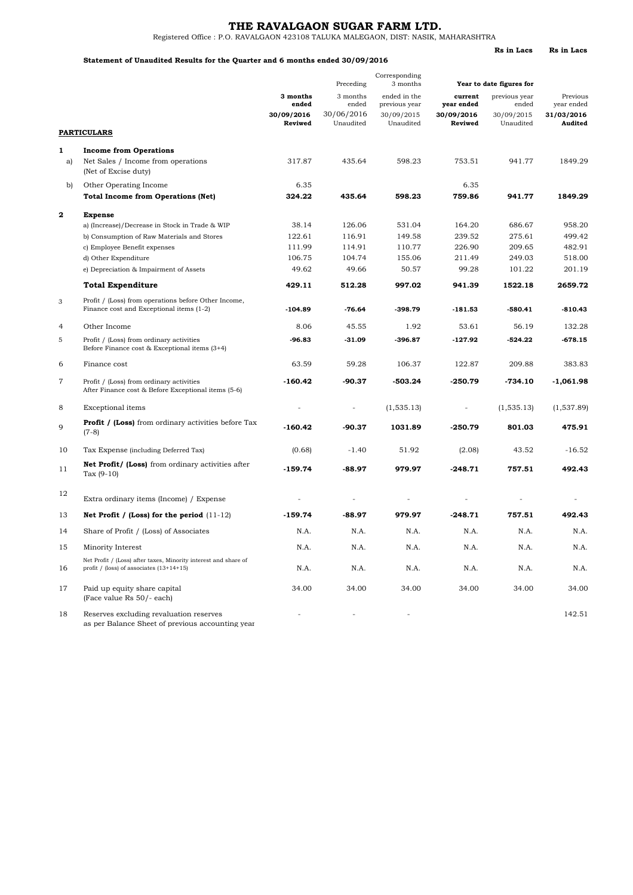**Rs in Lacs Rs in Lacs**

Registered Office : P.O. RAVALGAON 423108 TALUKA MALEGAON, DIST: NASIK, MAHARASHTRA

#### **Statement of Unaudited Results for the Quarter and 6 months ended 30/09/2016**

|                |                                                                                                               |                       | Preceding               | Corresponding<br>3 months     | Year to date figures for |                         |                        |
|----------------|---------------------------------------------------------------------------------------------------------------|-----------------------|-------------------------|-------------------------------|--------------------------|-------------------------|------------------------|
|                |                                                                                                               | 3 months<br>ended     | 3 months<br>ended       | ended in the<br>previous year | current<br>year ended    | previous year<br>ended  | Previous<br>year ended |
|                |                                                                                                               | 30/09/2016<br>Reviwed | 30/06/2016<br>Unaudited | 30/09/2015<br>Unaudited       | 30/09/2016<br>Reviwed    | 30/09/2015<br>Unaudited | 31/03/2016<br>Audited  |
|                | <b>PARTICULARS</b>                                                                                            |                       |                         |                               |                          |                         |                        |
| 1              | <b>Income from Operations</b>                                                                                 |                       |                         |                               |                          |                         |                        |
| a)             | Net Sales / Income from operations<br>(Net of Excise duty)                                                    | 317.87                | 435.64                  | 598.23                        | 753.51                   | 941.77                  | 1849.29                |
| b)             | Other Operating Income                                                                                        | 6.35                  |                         |                               | 6.35                     |                         |                        |
|                | <b>Total Income from Operations (Net)</b>                                                                     | 324.22                | 435.64                  | 598.23                        | 759.86                   | 941.77                  | 1849.29                |
| $\mathbf{2}$   | <b>Expense</b>                                                                                                |                       |                         |                               |                          |                         |                        |
|                | a) (Increase)/Decrease in Stock in Trade & WIP                                                                | 38.14                 | 126.06                  | 531.04                        | 164.20                   | 686.67                  | 958.20                 |
|                | b) Consumption of Raw Materials and Stores                                                                    | 122.61                | 116.91                  | 149.58                        | 239.52                   | 275.61                  | 499.42                 |
|                | c) Employee Benefit expenses                                                                                  | 111.99                | 114.91                  | 110.77                        | 226.90                   | 209.65                  | 482.91                 |
|                | d) Other Expenditure                                                                                          | 106.75                | 104.74                  | 155.06                        | 211.49                   | 249.03                  | 518.00                 |
|                | e) Depreciation & Impairment of Assets                                                                        | 49.62                 | 49.66                   | 50.57                         | 99.28                    | 101.22                  | 201.19                 |
|                | <b>Total Expenditure</b>                                                                                      | 429.11                | 512.28                  | 997.02                        | 941.39                   | 1522.18                 | 2659.72                |
| 3              | Profit / (Loss) from operations before Other Income,<br>Finance cost and Exceptional items (1-2)              | $-104.89$             | $-76.64$                | -398.79                       | $-181.53$                | $-580.41$               | $-810.43$              |
| $\overline{4}$ | Other Income                                                                                                  | 8.06                  | 45.55                   | 1.92                          | 53.61                    | 56.19                   | 132.28                 |
| 5              | Profit / (Loss) from ordinary activities<br>Before Finance cost & Exceptional items $(3+4)$                   | $-96.83$              | $-31.09$                | -396.87                       | $-127.92$                | $-524.22$               | $-678.15$              |
| 6              | Finance cost                                                                                                  | 63.59                 | 59.28                   | 106.37                        | 122.87                   | 209.88                  | 383.83                 |
| 7              | Profit / (Loss) from ordinary activities<br>After Finance cost & Before Exceptional items (5-6)               | $-160.42$             | -90.37                  | -503.24                       | $-250.79$                | -734.10                 | $-1,061.98$            |
| 8              | Exceptional items                                                                                             |                       | $\bar{\phantom{a}}$     | (1, 535.13)                   |                          | (1, 535.13)             | (1,537.89)             |
| 9              | <b>Profit / (Loss)</b> from ordinary activities before Tax<br>$(7-8)$                                         | $-160.42$             | -90.37                  | 1031.89                       | $-250.79$                | 801.03                  | 475.91                 |
| 10             | Tax Expense (including Deferred Tax)                                                                          | (0.68)                | $-1.40$                 | 51.92                         | (2.08)                   | 43.52                   | $-16.52$               |
| 11             | Net Profit/ (Loss) from ordinary activities after<br>Tax $(9-10)$                                             | $-159.74$             | $-88.97$                | 979.97                        | $-248.71$                | 757.51                  | 492.43                 |
| 12             | Extra ordinary items (Income) / Expense                                                                       |                       |                         |                               |                          |                         |                        |
| 13             | Net Profit / (Loss) for the period $(11-12)$                                                                  | $-159.74$             | $-88.97$                | 979.97                        | $-248.71$                | 757.51                  | 492.43                 |
| 14             | Share of Profit / (Loss) of Associates                                                                        | N.A.                  | N.A.                    | N.A.                          | N.A.                     | N.A.                    | N.A.                   |
| 15             | Minority Interest                                                                                             | N.A.                  | N.A.                    | N.A.                          | N.A.                     | N.A.                    | N.A.                   |
| 16             | Net Profit / (Loss) after taxes, Minority interest and share of<br>profit / (loss) of associates $(13+14+15)$ | N.A.                  | N.A.                    | N.A.                          | N.A.                     | N.A.                    | N.A.                   |
| 17             | Paid up equity share capital<br>(Face value Rs 50/- each)                                                     | 34.00                 | 34.00                   | 34.00                         | 34.00                    | 34.00                   | 34.00                  |
| 18             | Reserves excluding revaluation reserves<br>as per Balance Sheet of previous accounting year                   |                       |                         |                               |                          |                         | 142.51                 |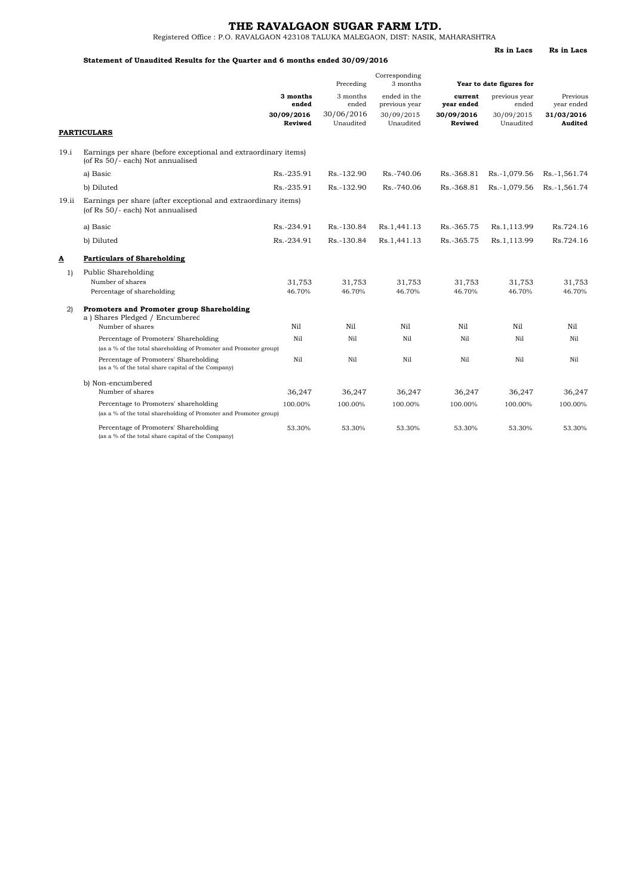**Rs in Lacs Rs in Lacs**

Registered Office : P.O. RAVALGAON 423108 TALUKA MALEGAON, DIST: NASIK, MAHARASHTRA

#### **Statement of Unaudited Results for the Quarter and 6 months ended 30/09/2016**

|              |                                                                                                            |                       | Preceding               | Corresponding<br>3 months     | Year to date figures for |                         |                        |  |
|--------------|------------------------------------------------------------------------------------------------------------|-----------------------|-------------------------|-------------------------------|--------------------------|-------------------------|------------------------|--|
|              |                                                                                                            | 3 months<br>ended     | 3 months<br>ended       | ended in the<br>previous year | current<br>year ended    | previous year<br>ended  | Previous<br>year ended |  |
|              | <b>PARTICULARS</b>                                                                                         | 30/09/2016<br>Reviwed | 30/06/2016<br>Unaudited | 30/09/2015<br>Unaudited       | 30/09/2016<br>Reviwed    | 30/09/2015<br>Unaudited | 31/03/2016<br>Audited  |  |
| 19.i         | Earnings per share (before exceptional and extraordinary items)<br>(of Rs 50/- each) Not annualised        |                       |                         |                               |                          |                         |                        |  |
|              | a) Basic                                                                                                   | Rs.-235.91            | Rs.-132.90              | Rs.-740.06                    | Rs.-368.81               | Rs.-1,079.56            | Rs.-1,561.74           |  |
|              | b) Diluted                                                                                                 | Rs.-235.91            | Rs.-132.90              | Rs.-740.06                    | Rs.-368.81               | Rs.-1,079.56            | Rs.-1,561.74           |  |
| 19.ii        | Earnings per share (after exceptional and extraordinary items)<br>(of Rs 50/- each) Not annualised         |                       |                         |                               |                          |                         |                        |  |
|              | a) Basic                                                                                                   | Rs.-234.91            | Rs.-130.84              | Rs.1,441.13                   | Rs.-365.75               | Rs.1,113.99             | Rs.724.16              |  |
|              | b) Diluted                                                                                                 | Rs.-234.91            | Rs.-130.84              | Rs.1,441.13                   | Rs.-365.75               | Rs.1,113.99             | Rs.724.16              |  |
| Δ            | <b>Particulars of Shareholding</b>                                                                         |                       |                         |                               |                          |                         |                        |  |
| 1)           | Public Shareholding                                                                                        |                       |                         |                               |                          |                         |                        |  |
|              | Number of shares<br>Percentage of shareholding                                                             | 31,753<br>46.70%      | 31,753<br>46.70%        | 31,753<br>46.70%              | 31,753<br>46.70%         | 31,753<br>46.70%        | 31,753<br>46.70%       |  |
| $\mathbf{2}$ | Promoters and Promoter group Shareholding<br>a) Shares Pledged / Encumbered                                |                       |                         |                               |                          |                         |                        |  |
|              | Number of shares                                                                                           | Nil                   | Nil                     | Nil                           | Nil                      | Nil                     | Nil                    |  |
|              | Percentage of Promoters' Shareholding                                                                      | Ni1                   | Nil                     | Ni1                           | Nil                      | Nil                     | Nil                    |  |
|              | (as a % of the total shareholding of Promoter and Promoter group)                                          |                       |                         |                               |                          |                         |                        |  |
|              | Percentage of Promoters' Shareholding<br>(as a % of the total share capital of the Company)                | Nil                   | Nil                     | Nil                           | Nil                      | Nil                     | Nil                    |  |
|              | b) Non-encumbered<br>Number of shares                                                                      | 36,247                | 36,247                  | 36,247                        | 36,247                   | 36,247                  | 36,247                 |  |
|              | Percentage to Promoters' shareholding<br>(as a % of the total shareholding of Promoter and Promoter group) | 100.00%               | 100.00%                 | 100.00%                       | 100.00%                  | 100.00%                 | 100.00%                |  |
|              | Percentage of Promoters' Shareholding<br>(as a % of the total share capital of the Company)                | 53.30%                | 53.30%                  | 53.30%                        | 53.30%                   | 53.30%                  | 53.30%                 |  |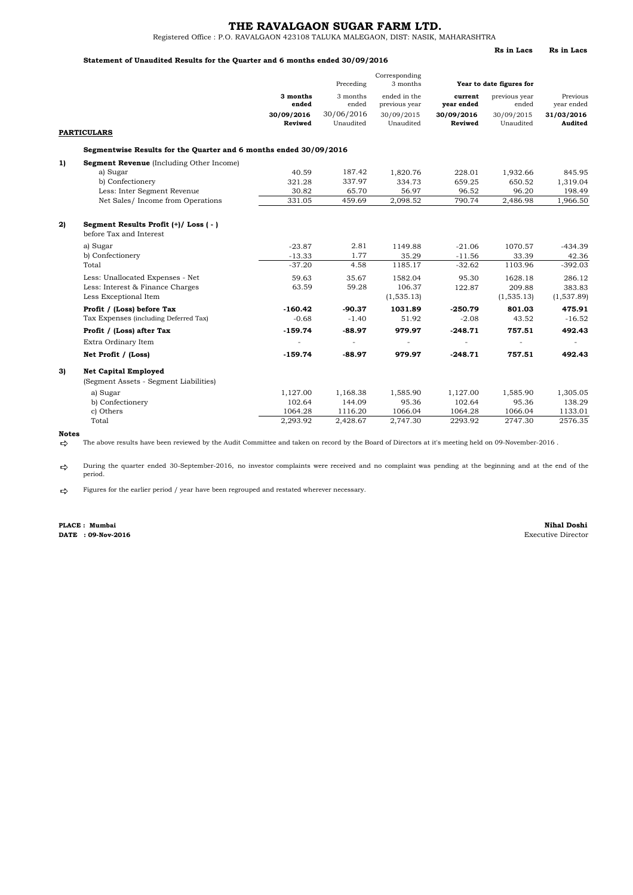Registered Office : P.O. RAVALGAON 423108 TALUKA MALEGAON, DIST: NASIK, MAHARASHTRA

### **Statement of Unaudited Results for the Quarter and 6 months ended 30/09/2016**

|    |                                                                       |                       | Preceding               | Corresponding<br>3 months     |                       | Year to date figures for |                        |
|----|-----------------------------------------------------------------------|-----------------------|-------------------------|-------------------------------|-----------------------|--------------------------|------------------------|
|    |                                                                       | 3 months<br>ended     | 3 months<br>ended       | ended in the<br>previous year | current<br>year ended | previous year<br>ended   | Previous<br>year ended |
|    |                                                                       | 30/09/2016<br>Reviwed | 30/06/2016<br>Unaudited | 30/09/2015<br>Unaudited       | 30/09/2016<br>Reviwed | 30/09/2015<br>Unaudited  | 31/03/2016<br>Audited  |
|    | <b>PARTICULARS</b>                                                    |                       |                         |                               |                       |                          |                        |
|    | Segmentwise Results for the Quarter and 6 months ended 30/09/2016     |                       |                         |                               |                       |                          |                        |
| 1) | <b>Segment Revenue</b> (Including Other Income)                       |                       |                         |                               |                       |                          |                        |
|    | a) Sugar                                                              | 40.59                 | 187.42                  | 1,820.76                      | 228.01                | 1,932.66                 | 845.95                 |
|    | b) Confectionery                                                      | 321.28                | 337.97                  | 334.73                        | 659.25                | 650.52                   | 1,319.04               |
|    | Less: Inter Segment Revenue                                           | 30.82                 | 65.70                   | 56.97                         | 96.52                 | 96.20                    | 198.49                 |
|    | Net Sales/ Income from Operations                                     | 331.05                | 459.69                  | 2,098.52                      | 790.74                | 2,486.98                 | 1,966.50               |
| 2) | Segment Results Profit (+)/ Loss (-)<br>before Tax and Interest       |                       |                         |                               |                       |                          |                        |
|    | a) Sugar                                                              | $-23.87$              | 2.81                    | 1149.88                       | $-21.06$              | 1070.57                  | $-434.39$              |
|    | b) Confectionery                                                      | $-13.33$              | 1.77                    | 35.29                         | $-11.56$              | 33.39                    | 42.36                  |
|    | Total                                                                 | $-37.20$              | 4.58                    | 1185.17                       | $-32.62$              | 1103.96                  | $-392.03$              |
|    | Less: Unallocated Expenses - Net                                      | 59.63                 | 35.67                   | 1582.04                       | 95.30                 | 1628.18                  | 286.12                 |
|    | Less: Interest & Finance Charges                                      | 63.59                 | 59.28                   | 106.37                        | 122.87                | 209.88                   | 383.83                 |
|    | Less Exceptional Item                                                 |                       |                         | (1, 535.13)                   |                       | (1, 535.13)              | (1,537.89)             |
|    | Profit / (Loss) before Tax                                            | $-160.42$             | $-90.37$                | 1031.89                       | $-250.79$             | 801.03                   | 475.91                 |
|    | Tax Expenses (including Deferred Tax)                                 | $-0.68$               | $-1.40$                 | 51.92                         | $-2.08$               | 43.52                    | $-16.52$               |
|    | Profit / (Loss) after Tax                                             | $-159.74$             | $-88.97$                | 979.97                        | $-248.71$             | 757.51                   | 492.43                 |
|    | Extra Ordinary Item                                                   |                       | $\blacksquare$          |                               |                       |                          |                        |
|    | Net Profit / (Loss)                                                   | $-159.74$             | $-88.97$                | 979.97                        | $-248.71$             | 757.51                   | 492.43                 |
| 3) | <b>Net Capital Employed</b><br>(Segment Assets - Segment Liabilities) |                       |                         |                               |                       |                          |                        |
|    | a) Sugar                                                              | 1,127.00              | 1,168.38                | 1,585.90                      | 1,127.00              | 1,585.90                 | 1,305.05               |
|    | b) Confectionery                                                      | 102.64                | 144.09                  | 95.36                         | 102.64                | 95.36                    | 138.29                 |
|    | c) Others                                                             | 1064.28               | 1116.20                 | 1066.04                       | 1064.28               | 1066.04                  | 1133.01                |
|    | Total                                                                 | 2.293.92              | 2.428.67                | 2.747.30                      | 2293.92               | 2747.30                  | 2576.35                |

**Notes**

 $\Rightarrow$ The above results have been reviewed by the Audit Committee and taken on record by the Board of Directors at it's meeting held on 09-November-2016 .

 $\Rightarrow$ During the quarter ended 30-September-2016, no investor complaints were received and no complaint was pending at the beginning and at the end of the period.

 $\Rightarrow$ Figures for the earlier period / year have been regrouped and restated wherever necessary.

**DATE : 09-Nov-2016 PLACE : Mumbai**

**Nihal Doshi**<br>Executive Director

**Rs in Lacs Rs in Lacs**